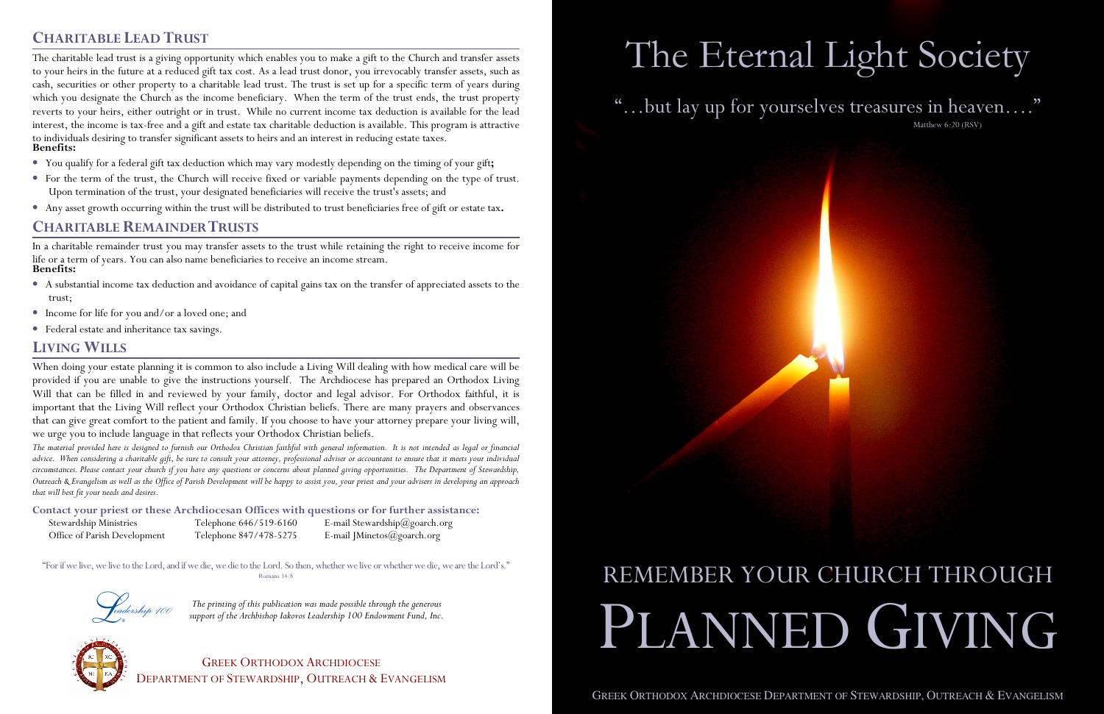*The printing of this publication was made possible through the generous support of the Archbishop Iakovos Leadership 100 Endowment Fund, Inc*.



**<sup>C</sup>HARITABLE LEAD TRUST** The charitable lead trust is a giving opportunity which enables you to make a gift to the Church and transfer assets to your heirs in the future at a reduced gift tax cost. As a lead trust donor, you irrevocably transfer assets, such as cash, securities or other property to a charitable lead trust. The trust is set up for a specific term of years during which you designate the Church as the income beneficiary. When the term of the trust ends, the trust property reverts to your heirs, either outright or in trust. While no current income tax deduction is available for the lead interest, the income is tax-free and a gift and estate tax charitable deduction is available. This program is attractive to individuals desiring to transfer significant assets to heirs and an interest in reducing estate taxes. **Benefits:** • You qualify for a federal gift tax deduction which may vary modestly depending on the timing of your gift**;** • For the term of the trust, the Church will receive fixed or variable payments depending on the type of trust. Upon termination of the trust, your designated beneficiaries will receive the trust's assets; and • Any asset growth occurring within the trust will be distributed to trust beneficiaries free of gift or estate tax**. CHARITABLE REMAINDER TRUSTS** In a charitable remainder trust you may transfer assets to the trust while retaining the right to receive income for life or a term of years. You can also name beneficiaries to receive an income stream. **Benefits:** • A substantial income tax deduction and avoidance of capital gains tax on the transfer of appreciated assets to the trust; • Income for life for you and/or a loved one; and • Federal estate and inheritance tax savings. **LIVING WILLS** When doing your estate planning it is common to also include a Living Will dealing with how medical care will be provided if you are unable to give the instructions yourself. The Archdiocese has prepared an Orthodox Living Will that can be filled in and reviewed by your family, doctor and legal advisor. For Orthodox faithful, it is important that the Living Will reflect your Orthodox Christian beliefs. There are many prayers and observances that can give great comfort to the patient and family. If you choose to have your attorney prepare your living will, we urge you to include language in that reflects your Orthodox Christian beliefs. *The material provided here is designed to furnish our Orthodox Christian faithful with general information. It is not intended as legal or financial advice. When considering a charitable gift, be sure to consult your attorney, professional adviser or accountant to ensure that it meets your individual circumstances. Please contact your church if you have any questions or concerns about planned giving opportunities. The Department of Stewardship, Outreach & Evangelism as well as the Office of Parish Development will be happy to assist you, your priest and your advisers in developing an approach that will best fit your needs and desires.* **Contact your priest or these Archdiocesan Offices with questions or for further assistance:** Stewardship Ministries Telephone 646/519-6160 E-mail Stewardship@goarch.org Office of Parish Development Telephone 847/478-5275 E-mail JMinetos@goarch.org "For if we live, we live to the Lord, and if we die, we die to the Lord. So then, whether we live or whether we die, we are the Lord's." Romans 14:8 The Eternal Light Society "…but lay up for yourselves treasures in heaven…." Matthew 6:20 (RSV) REMEMBER YOUR CHURCH THROUGH <sup>P</sup>LANNED GIVING

- 
- 
- 

- 
- 
- 

| Stewardship Ministries       |  |
|------------------------------|--|
| Office of Parish Development |  |

GREEK ORTHODOX ARCHDIOCESE DEPARTMENT OF STEWARDSHIP, <sup>O</sup>UTREACH & <sup>E</sup>VANGELISM

GREEK ORTHODOX ARCHDIOCESE DEPARTMENT OF STEWARDSHIP, OUTREACH  $\&$  EVANGELISM